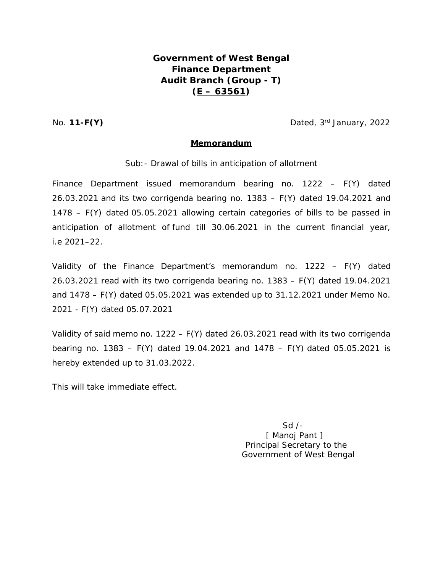## **Government of West Bengal Finance Department Audit Branch (Group - T) (E – 63561)**

No. **11-F(Y)** Dated, 3<sup>rd</sup> January, 2022

## **Memorandum**

## Sub: - Drawal of bills in anticipation of allotment

Finance Department issued memorandum bearing no. 1222 – F(Y) dated 26.03.2021 and its two corrigenda bearing no. 1383 – F(Y) dated 19.04.2021 and 1478 – F(Y) dated 05.05.2021 allowing certain categories of bills to be passed in anticipation of allotment of fund till 30.06.2021 in the current financial year, i.e 2021–22.

Validity of the Finance Department's memorandum no. 1222 – F(Y) dated 26.03.2021 read with its two corrigenda bearing no. 1383 – F(Y) dated 19.04.2021 and 1478 – F(Y) dated 05.05.2021 was extended up to 31.12.2021 under Memo No. 2021 - F(Y) dated 05.07.2021

Validity of said memo no. 1222 – F(Y) dated 26.03.2021 read with its two corrigenda bearing no. 1383 – F(Y) dated 19.04.2021 and 1478 – F(Y) dated 05.05.2021 is hereby extended up to 31.03.2022.

This will take immediate effect.

 Sd /- [ Manoj Pant ] Principal Secretary to the Government of West Bengal